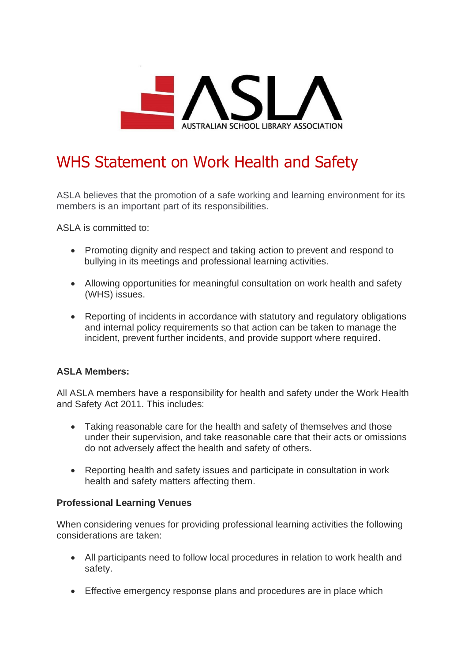

# WHS Statement on Work Health and Safety

ASLA believes that the promotion of a safe working and learning environment for its members is an important part of its responsibilities.

ASLA is committed to:

- Promoting dignity and respect and taking action to prevent and respond to bullying in its meetings and professional learning activities.
- Allowing opportunities for meaningful consultation on work health and safety (WHS) issues.
- Reporting of incidents in accordance with statutory and regulatory obligations and internal policy requirements so that action can be taken to manage the incident, prevent further incidents, and provide support where required.

# **ASLA Members:**

All ASLA members have a responsibility for health and safety under the Work Health and Safety Act 2011. This includes:

- Taking reasonable care for the health and safety of themselves and those under their supervision, and take reasonable care that their acts or omissions do not adversely affect the health and safety of others.
- Reporting health and safety issues and participate in consultation in work health and safety matters affecting them.

## **Professional Learning Venues**

When considering venues for providing professional learning activities the following considerations are taken:

- All participants need to follow local procedures in relation to work health and safety.
- Effective emergency response plans and procedures are in place which